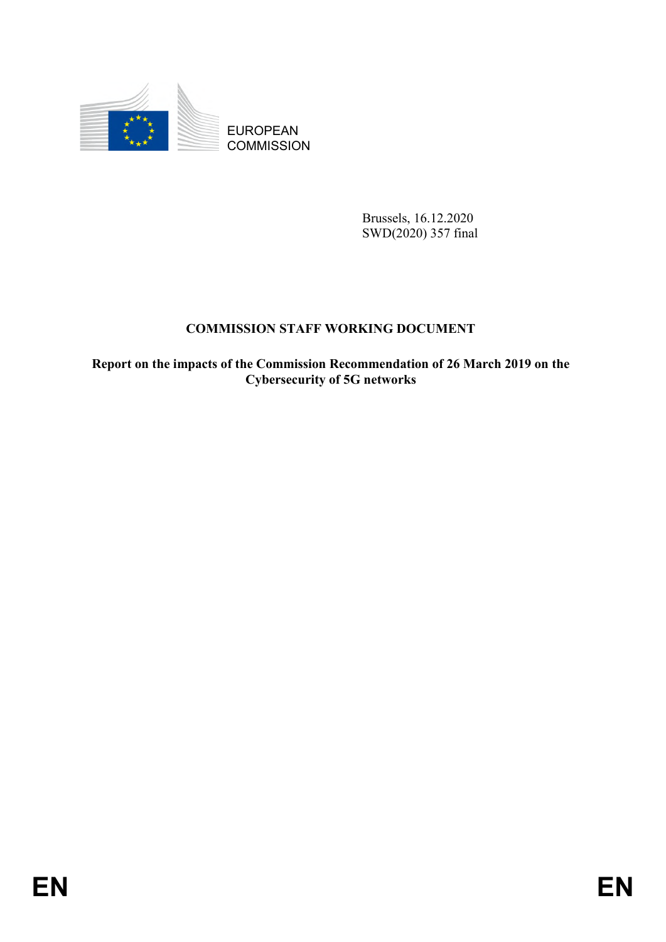

**COMMISSION** 

Brussels, 16.12.2020 SWD(2020) 357 final

# **COMMISSION STAFF WORKING DOCUMENT**

EUROPEAN<br>
EUROPEAN<br>
ENGINEERING<br>
ENGINEERING<br>
ENGINEERING<br>
COMMISSION STAFF WORKING DOCUMENT<br>
ENGINEERING<br>
EUROPEAN<br>
ENGINEERING OF SUBSERING OF SUBSERING OF SUBSERING OF SUBSERING OF SUBSERING OF SUBSERING OF SUBSERING OF **Report on the impacts of the Commission Recommendation of 26 March 2019 on the Cybersecurity of 5G networks**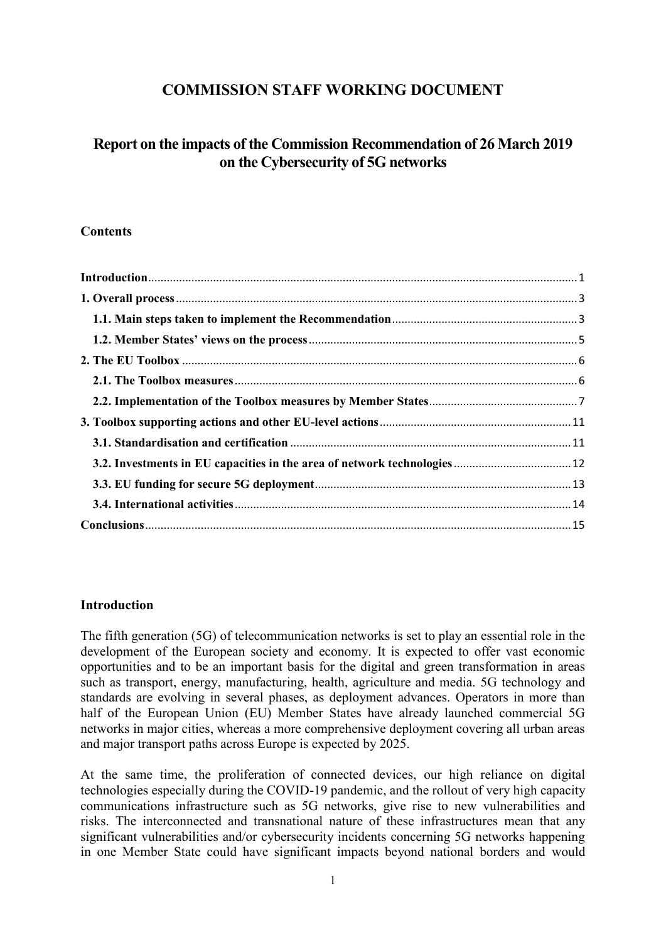# **COMMISSION STAFF WORKING DOCUMENT**

# **Report on the impacts of the Commission Recommendation of 26 March 2019 on the Cybersecurity of 5G networks**

#### **Contents**

#### <span id="page-1-0"></span>**Introduction**

The fifth generation (5G) of telecommunication networks is set to play an essential role in the development of the European society and economy. It is expected to offer vast economic opportunities and to be an important basis for the digital and green transformation in areas such as transport, energy, manufacturing, health, agriculture and media. 5G technology and standards are evolving in several phases, as deployment advances. Operators in more than half of the European Union (EU) Member States have already launched commercial 5G networks in major cities, whereas a more comprehensive deployment covering all urban areas and major transport paths across Europe is expected by 2025.

At the same time, the proliferation of connected devices, our high reliance on digital technologies especially during the COVID-19 pandemic, and the rollout of very high capacity communications infrastructure such as 5G networks, give rise to new vulnerabilities and risks. The interconnected and transnational nature of these infrastructures mean that any significant vulnerabilities and/or cybersecurity incidents concerning 5G networks happening in one Member State could have significant impacts beyond national borders and would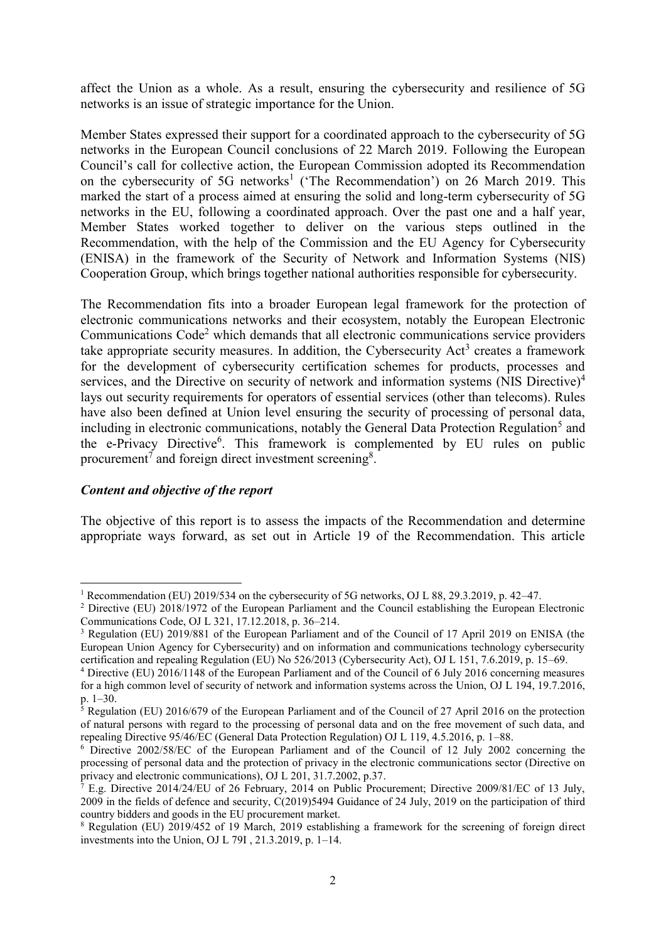affect the Union as a whole. As a result, ensuring the cybersecurity and resilience of 5G networks is an issue of strategic importance for the Union.

Member States expressed their support for a coordinated approach to the cybersecurity of 5G networks in the European Council conclusions of 22 March 2019. Following the European Council's call for collective action, the European Commission adopted its Recommendation on the cybersecurity of 5G networks<sup>1</sup> ('The Recommendation') on 26 March 2019. This marked the start of a process aimed at ensuring the solid and long-term cybersecurity of 5G networks in the EU, following a coordinated approach. Over the past one and a half year, Member States worked together to deliver on the various steps outlined in the Recommendation, with the help of the Commission and the EU Agency for Cybersecurity (ENISA) in the framework of the Security of Network and Information Systems (NIS) Cooperation Group, which brings together national authorities responsible for cybersecurity.

The Recommendation fits into a broader European legal framework for the protection of electronic communications networks and their ecosystem, notably the European Electronic Communications Code<sup>2</sup> which demands that all electronic communications service providers take appropriate security measures. In addition, the Cybersecurity  $Act<sup>3</sup>$  creates a framework for the development of cybersecurity certification schemes for products, processes and services, and the Directive on security of network and information systems (NIS Directive)<sup>4</sup> lays out security requirements for operators of essential services (other than telecoms). Rules have also been defined at Union level ensuring the security of processing of personal data, including in electronic communications, notably the General Data Protection Regulation<sup>5</sup> and the e-Privacy Directive<sup>6</sup>. This framework is complemented by EU rules on public procurement<sup>7</sup> and foreign direct investment screening<sup>8</sup>.

#### *Content and objective of the report*

The objective of this report is to assess the impacts of the Recommendation and determine appropriate ways forward, as set out in Article 19 of the Recommendation. This article

<sup>1</sup> <sup>1</sup> Recommendation (EU) 2019/534 on the cybersecurity of 5G networks, OJ L 88, 29.3.2019, p. 42–47.

<sup>&</sup>lt;sup>2</sup> Directive (EU) 2018/1972 of the European Parliament and the Council establishing the European Electronic Communications Code, OJ L 321, 17.12.2018, p. 36–214.

<sup>3</sup> Regulation (EU) 2019/881 of the European Parliament and of the Council of 17 April 2019 on ENISA (the European Union Agency for Cybersecurity) and on information and communications technology cybersecurity certification and repealing Regulation (EU) No 526/2013 (Cybersecurity Act), OJ L 151, 7.6.2019, p. 15–69.

<sup>4</sup> Directive (EU) 2016/1148 of the European Parliament and of the Council of 6 July 2016 concerning measures for a high common level of security of network and information systems across the Union, OJ L 194, 19.7.2016, p. 1–30.

<sup>&</sup>lt;sup>5</sup> Regulation (EU) 2016/679 of the European Parliament and of the Council of 27 April 2016 on the protection of natural persons with regard to the processing of personal data and on the free movement of such data, and repealing Directive 95/46/EC (General Data Protection Regulation) OJ L 119, 4.5.2016, p. 1–88.

<sup>6</sup> Directive 2002/58/EC of the European Parliament and of the Council of 12 July 2002 concerning the processing of personal data and the protection of privacy in the electronic communications sector (Directive on privacy and electronic communications), OJ L 201, 31.7.2002, p.37.

 $\frac{7}{7}$  E.g. Directive 2014/24/EU of 26 February, 2014 on Public Procurement; Directive 2009/81/EC of 13 July, 2009 in the fields of defence and security, C(2019)5494 Guidance of 24 July, 2019 on the participation of third country bidders and goods in the EU procurement market.

<sup>&</sup>lt;sup>8</sup> Regulation (EU) 2019/452 of 19 March, 2019 establishing a framework for the screening of foreign direct investments into the Union, OJ L 79I , 21.3.2019, p. 1–14.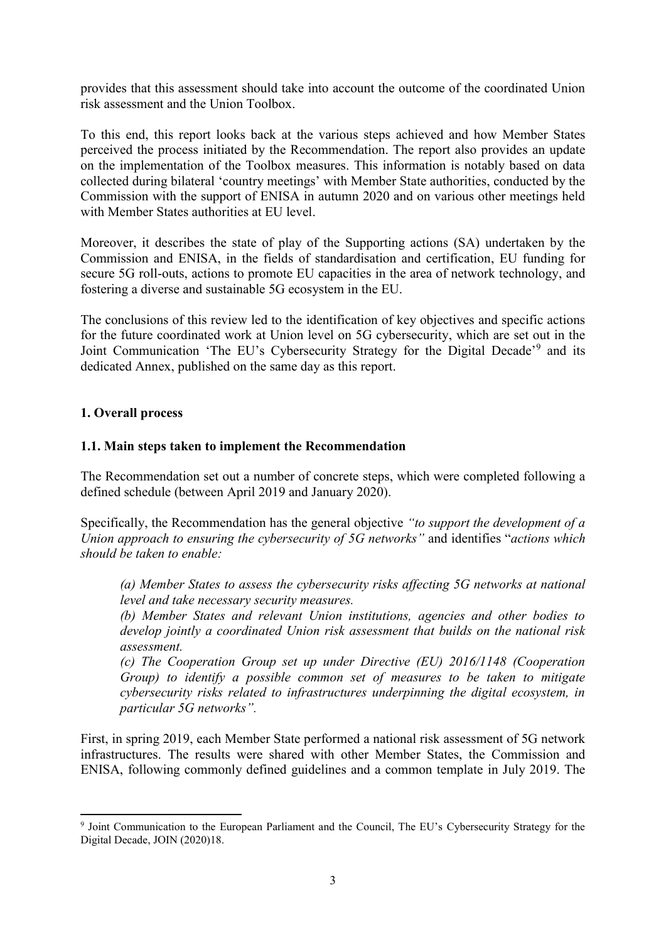provides that this assessment should take into account the outcome of the coordinated Union risk assessment and the Union Toolbox.

To this end, this report looks back at the various steps achieved and how Member States perceived the process initiated by the Recommendation. The report also provides an update on the implementation of the Toolbox measures. This information is notably based on data collected during bilateral 'country meetings' with Member State authorities, conducted by the Commission with the support of ENISA in autumn 2020 and on various other meetings held with Member States authorities at EU level.

Moreover, it describes the state of play of the Supporting actions (SA) undertaken by the Commission and ENISA, in the fields of standardisation and certification, EU funding for secure 5G roll-outs, actions to promote EU capacities in the area of network technology, and fostering a diverse and sustainable 5G ecosystem in the EU.

The conclusions of this review led to the identification of key objectives and specific actions for the future coordinated work at Union level on 5G cybersecurity, which are set out in the Joint Communication 'The EU's Cybersecurity Strategy for the Digital Decade'<sup>9</sup> and its dedicated Annex, published on the same day as this report.

## <span id="page-3-0"></span>**1. Overall process**

#### <span id="page-3-1"></span>**1.1. Main steps taken to implement the Recommendation**

The Recommendation set out a number of concrete steps, which were completed following a defined schedule (between April 2019 and January 2020).

Specifically, the Recommendation has the general objective *"to support the development of a Union approach to ensuring the cybersecurity of 5G networks"* and identifies "*actions which should be taken to enable:* 

*(a) Member States to assess the cybersecurity risks affecting 5G networks at national level and take necessary security measures.* 

*(b) Member States and relevant Union institutions, agencies and other bodies to develop jointly a coordinated Union risk assessment that builds on the national risk assessment.* 

*(c) The Cooperation Group set up under Directive (EU) 2016/1148 (Cooperation Group) to identify a possible common set of measures to be taken to mitigate cybersecurity risks related to infrastructures underpinning the digital ecosystem, in particular 5G networks".* 

First, in spring 2019, each Member State performed a national risk assessment of 5G network infrastructures. The results were shared with other Member States, the Commission and ENISA, following commonly defined guidelines and a common template in July 2019. The

**<sup>.</sup>** <sup>9</sup> Joint Communication to the European Parliament and the Council, The EU's Cybersecurity Strategy for the Digital Decade, JOIN (2020)18.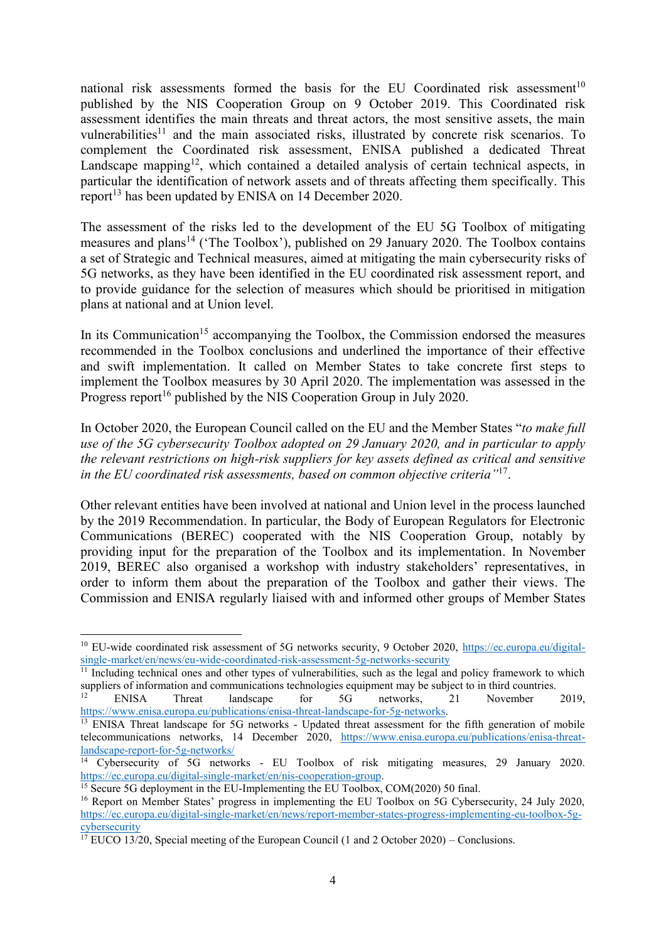national risk assessments formed the basis for the EU Coordinated risk assessment<sup>10</sup> published by the NIS Cooperation Group on 9 October 2019. This Coordinated risk assessment identifies the main threats and threat actors, the most sensitive assets, the main vulnerabilities<sup>11</sup> and the main associated risks, illustrated by concrete risk scenarios. To complement the Coordinated risk assessment, ENISA published a dedicated Threat Landscape mapping<sup>12</sup>, which contained a detailed analysis of certain technical aspects, in particular the identification of network assets and of threats affecting them specifically. This report<sup>13</sup> has been updated by ENISA on 14 December 2020.

The assessment of the risks led to the development of the EU 5G Toolbox of mitigating measures and plans<sup>14</sup> ('The Toolbox'), published on 29 January 2020. The Toolbox contains a set of Strategic and Technical measures, aimed at mitigating the main cybersecurity risks of 5G networks, as they have been identified in the EU coordinated risk assessment report, and to provide guidance for the selection of measures which should be prioritised in mitigation plans at national and at Union level.

In its Communication<sup>15</sup> accompanying the Toolbox, the Commission endorsed the measures recommended in the Toolbox conclusions and underlined the importance of their effective and swift implementation. It called on Member States to take concrete first steps to implement the Toolbox measures by 30 April 2020. The implementation was assessed in the Progress report<sup>16</sup> published by the NIS Cooperation Group in July 2020.

In October 2020, the European Council called on the EU and the Member States "*to make full use of the 5G cybersecurity Toolbox adopted on 29 January 2020, and in particular to apply the relevant restrictions on high-risk suppliers for key assets defined as critical and sensitive in the EU coordinated risk assessments, based on common objective criteria"*<sup>17</sup> .

Other relevant entities have been involved at national and Union level in the process launched by the 2019 Recommendation. In particular, the Body of European Regulators for Electronic Communications (BEREC) cooperated with the NIS Cooperation Group, notably by providing input for the preparation of the Toolbox and its implementation. In November 2019, BEREC also organised a workshop with industry stakeholders' representatives, in order to inform them about the preparation of the Toolbox and gather their views. The Commission and ENISA regularly liaised with and informed other groups of Member States

**.** 

<sup>&</sup>lt;sup>10</sup> EU-wide coordinated risk assessment of 5G networks security, 9 October 2020, [https://ec.europa.eu/digital](https://ec.europa.eu/digital-single-market/en/news/eu-wide-coordinated-risk-assessment-5g-networks-security)[single-market/en/news/eu-wide-coordinated-risk-assessment-5g-networks-security](https://ec.europa.eu/digital-single-market/en/news/eu-wide-coordinated-risk-assessment-5g-networks-security)

 $11$  Including technical ones and other types of vulnerabilities, such as the legal and policy framework to which suppliers of information and communications technologies equipment may be subject to in third countries.

<sup>12</sup> ENISA Threat landscape for 5G networks, 21 November 2019, [https://www.enisa.europa.eu/publications/enisa-threat-landscape-for-5g-networks.](https://www.enisa.europa.eu/publications/enisa-threat-landscape-for-5g-networks) 

<sup>&</sup>lt;sup>13</sup> ENISA Threat landscape for 5G networks - Updated threat assessment for the fifth generation of mobile telecommunications networks, 14 December 2020, [https://www.enisa.europa.eu/publications/enisa-threat](https://www.enisa.europa.eu/publications/enisa-threat-landscape-report-for-5g-networks/)[landscape-report-for-5g-networks/](https://www.enisa.europa.eu/publications/enisa-threat-landscape-report-for-5g-networks/)

<sup>&</sup>lt;sup>14</sup> Cybersecurity of 5G networks - EU Toolbox of risk mitigating measures, 29 January 2020. [https://ec.europa.eu/digital-single-market/en/nis-cooperation-group.](https://ec.europa.eu/digital-single-market/en/nis-cooperation-group)

<sup>&</sup>lt;sup>15</sup> Secure 5G deployment in the EU-Implementing the EU Toolbox, COM(2020) 50 final.

<sup>&</sup>lt;sup>16</sup> Report on Member States' progress in implementing the EU Toolbox on 5G Cybersecurity, 24 July 2020, [https://ec.europa.eu/digital-single-market/en/news/report-member-states-progress-implementing-eu-toolbox-5g](https://ec.europa.eu/digital-single-market/en/news/report-member-states-progress-implementing-eu-toolbox-5g-cybersecurity)[cybersecurity](https://ec.europa.eu/digital-single-market/en/news/report-member-states-progress-implementing-eu-toolbox-5g-cybersecurity)

 $17$  EUCO 13/20, Special meeting of the European Council (1 and 2 October 2020) – Conclusions.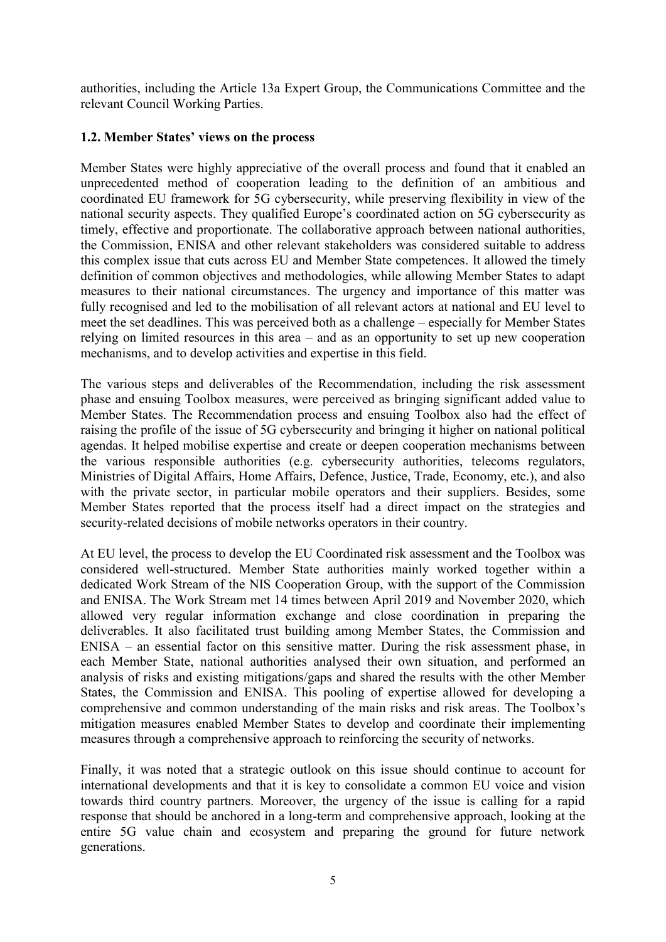authorities, including the Article 13a Expert Group, the Communications Committee and the relevant Council Working Parties.

## <span id="page-5-0"></span>**1.2. Member States' views on the process**

Member States were highly appreciative of the overall process and found that it enabled an unprecedented method of cooperation leading to the definition of an ambitious and coordinated EU framework for 5G cybersecurity, while preserving flexibility in view of the national security aspects. They qualified Europe's coordinated action on 5G cybersecurity as timely, effective and proportionate. The collaborative approach between national authorities, the Commission, ENISA and other relevant stakeholders was considered suitable to address this complex issue that cuts across EU and Member State competences. It allowed the timely definition of common objectives and methodologies, while allowing Member States to adapt measures to their national circumstances. The urgency and importance of this matter was fully recognised and led to the mobilisation of all relevant actors at national and EU level to meet the set deadlines. This was perceived both as a challenge – especially for Member States relying on limited resources in this area – and as an opportunity to set up new cooperation mechanisms, and to develop activities and expertise in this field.

The various steps and deliverables of the Recommendation, including the risk assessment phase and ensuing Toolbox measures, were perceived as bringing significant added value to Member States. The Recommendation process and ensuing Toolbox also had the effect of raising the profile of the issue of 5G cybersecurity and bringing it higher on national political agendas. It helped mobilise expertise and create or deepen cooperation mechanisms between the various responsible authorities (e.g. cybersecurity authorities, telecoms regulators, Ministries of Digital Affairs, Home Affairs, Defence, Justice, Trade, Economy, etc.), and also with the private sector, in particular mobile operators and their suppliers. Besides, some Member States reported that the process itself had a direct impact on the strategies and security-related decisions of mobile networks operators in their country.

At EU level, the process to develop the EU Coordinated risk assessment and the Toolbox was considered well-structured. Member State authorities mainly worked together within a dedicated Work Stream of the NIS Cooperation Group, with the support of the Commission and ENISA. The Work Stream met 14 times between April 2019 and November 2020, which allowed very regular information exchange and close coordination in preparing the deliverables. It also facilitated trust building among Member States, the Commission and ENISA – an essential factor on this sensitive matter. During the risk assessment phase, in each Member State, national authorities analysed their own situation, and performed an analysis of risks and existing mitigations/gaps and shared the results with the other Member States, the Commission and ENISA. This pooling of expertise allowed for developing a comprehensive and common understanding of the main risks and risk areas. The Toolbox's mitigation measures enabled Member States to develop and coordinate their implementing measures through a comprehensive approach to reinforcing the security of networks.

Finally, it was noted that a strategic outlook on this issue should continue to account for international developments and that it is key to consolidate a common EU voice and vision towards third country partners. Moreover, the urgency of the issue is calling for a rapid response that should be anchored in a long-term and comprehensive approach, looking at the entire 5G value chain and ecosystem and preparing the ground for future network generations.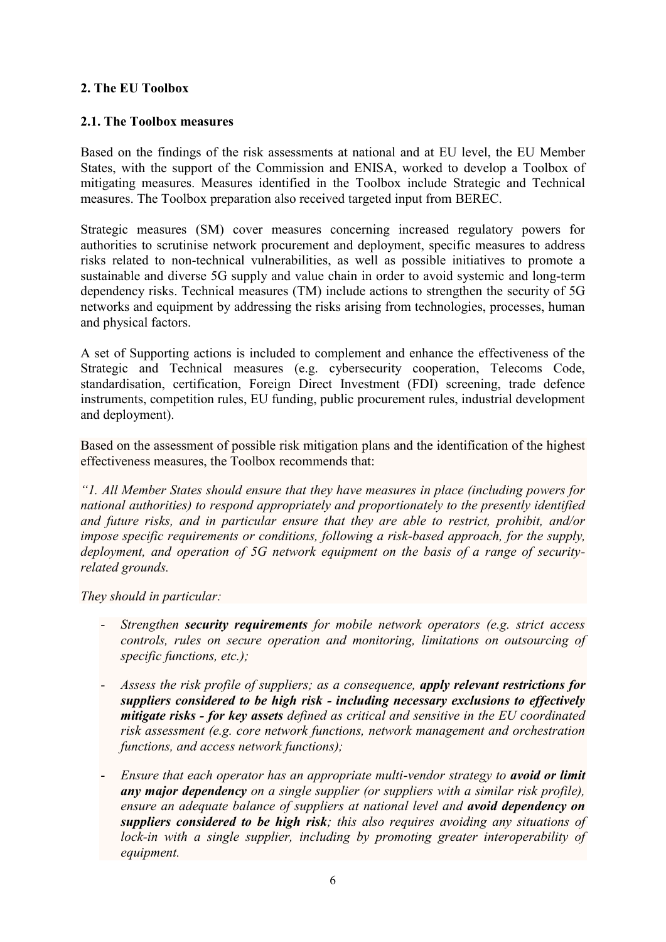## <span id="page-6-0"></span>**2. The EU Toolbox**

## <span id="page-6-1"></span>**2.1. The Toolbox measures**

Based on the findings of the risk assessments at national and at EU level, the EU Member States, with the support of the Commission and ENISA, worked to develop a Toolbox of mitigating measures. Measures identified in the Toolbox include Strategic and Technical measures. The Toolbox preparation also received targeted input from BEREC.

Strategic measures (SM) cover measures concerning increased regulatory powers for authorities to scrutinise network procurement and deployment, specific measures to address risks related to non-technical vulnerabilities, as well as possible initiatives to promote a sustainable and diverse 5G supply and value chain in order to avoid systemic and long-term dependency risks. Technical measures (TM) include actions to strengthen the security of 5G networks and equipment by addressing the risks arising from technologies, processes, human and physical factors.

A set of Supporting actions is included to complement and enhance the effectiveness of the Strategic and Technical measures (e.g. cybersecurity cooperation, Telecoms Code, standardisation, certification, Foreign Direct Investment (FDI) screening, trade defence instruments, competition rules, EU funding, public procurement rules, industrial development and deployment).

Based on the assessment of possible risk mitigation plans and the identification of the highest effectiveness measures, the Toolbox recommends that:

*"1. All Member States should ensure that they have measures in place (including powers for national authorities) to respond appropriately and proportionately to the presently identified and future risks, and in particular ensure that they are able to restrict, prohibit, and/or impose specific requirements or conditions, following a risk-based approach, for the supply, deployment, and operation of 5G network equipment on the basis of a range of securityrelated grounds.*

*They should in particular:* 

- *Strengthen security requirements for mobile network operators (e.g. strict access controls, rules on secure operation and monitoring, limitations on outsourcing of specific functions, etc.);*
- *Assess the risk profile of suppliers; as a consequence, apply relevant restrictions for suppliers considered to be high risk - including necessary exclusions to effectively mitigate risks - for key assets defined as critical and sensitive in the EU coordinated risk assessment (e.g. core network functions, network management and orchestration functions, and access network functions);*
- *Ensure that each operator has an appropriate multi-vendor strategy to avoid or limit any major dependency on a single supplier (or suppliers with a similar risk profile), ensure an adequate balance of suppliers at national level and avoid dependency on suppliers considered to be high risk; this also requires avoiding any situations of lock-in with a single supplier, including by promoting greater interoperability of equipment.*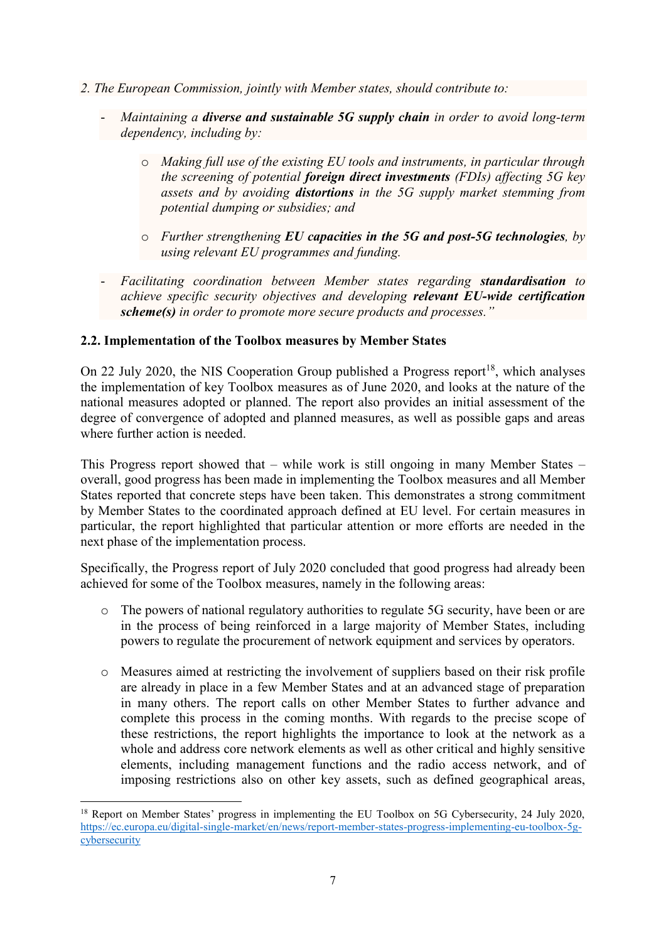- *2. The European Commission, jointly with Member states, should contribute to:*
	- *Maintaining a diverse and sustainable 5G supply chain in order to avoid long-term dependency, including by:*
		- o *Making full use of the existing EU tools and instruments, in particular through the screening of potential foreign direct investments (FDIs) affecting 5G key assets and by avoiding distortions in the 5G supply market stemming from potential dumping or subsidies; and*
		- o *Further strengthening EU capacities in the 5G and post-5G technologies, by using relevant EU programmes and funding.*
	- *Facilitating coordination between Member states regarding standardisation to achieve specific security objectives and developing relevant EU-wide certification scheme(s) in order to promote more secure products and processes."*

## <span id="page-7-0"></span>**2.2. Implementation of the Toolbox measures by Member States**

On 22 July 2020, the NIS Cooperation Group published a Progress report<sup>18</sup>, which analyses the implementation of key Toolbox measures as of June 2020, and looks at the nature of the national measures adopted or planned. The report also provides an initial assessment of the degree of convergence of adopted and planned measures, as well as possible gaps and areas where further action is needed.

This Progress report showed that – while work is still ongoing in many Member States – overall, good progress has been made in implementing the Toolbox measures and all Member States reported that concrete steps have been taken. This demonstrates a strong commitment by Member States to the coordinated approach defined at EU level. For certain measures in particular, the report highlighted that particular attention or more efforts are needed in the next phase of the implementation process.

Specifically, the Progress report of July 2020 concluded that good progress had already been achieved for some of the Toolbox measures, namely in the following areas:

- o The powers of national regulatory authorities to regulate 5G security, have been or are in the process of being reinforced in a large majority of Member States, including powers to regulate the procurement of network equipment and services by operators.
- o Measures aimed at restricting the involvement of suppliers based on their risk profile are already in place in a few Member States and at an advanced stage of preparation in many others. The report calls on other Member States to further advance and complete this process in the coming months. With regards to the precise scope of these restrictions, the report highlights the importance to look at the network as a whole and address core network elements as well as other critical and highly sensitive elements, including management functions and the radio access network, and of imposing restrictions also on other key assets, such as defined geographical areas,

**<sup>.</sup>** <sup>18</sup> Report on Member States' progress in implementing the EU Toolbox on 5G Cybersecurity, 24 July 2020, [https://ec.europa.eu/digital-single-market/en/news/report-member-states-progress-implementing-eu-toolbox-5g](https://ec.europa.eu/digital-single-market/en/news/report-member-states-progress-implementing-eu-toolbox-5g-cybersecurity)[cybersecurity](https://ec.europa.eu/digital-single-market/en/news/report-member-states-progress-implementing-eu-toolbox-5g-cybersecurity)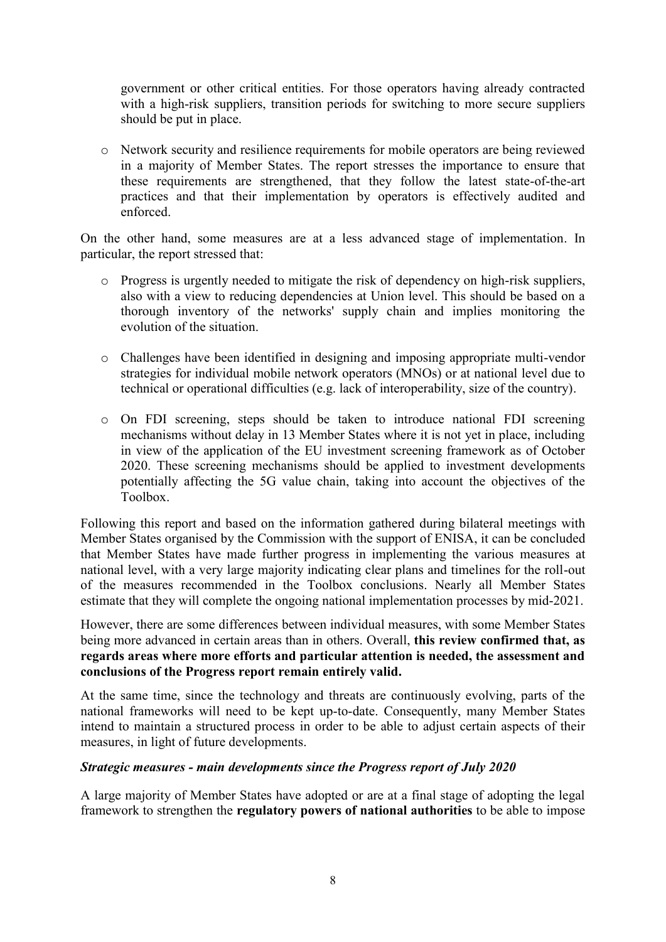government or other critical entities. For those operators having already contracted with a high-risk suppliers, transition periods for switching to more secure suppliers should be put in place.

o Network security and resilience requirements for mobile operators are being reviewed in a majority of Member States. The report stresses the importance to ensure that these requirements are strengthened, that they follow the latest state-of-the-art practices and that their implementation by operators is effectively audited and enforced.

On the other hand, some measures are at a less advanced stage of implementation. In particular, the report stressed that:

- o Progress is urgently needed to mitigate the risk of dependency on high-risk suppliers, also with a view to reducing dependencies at Union level. This should be based on a thorough inventory of the networks' supply chain and implies monitoring the evolution of the situation.
- o Challenges have been identified in designing and imposing appropriate multi-vendor strategies for individual mobile network operators (MNOs) or at national level due to technical or operational difficulties (e.g. lack of interoperability, size of the country).
- o On FDI screening, steps should be taken to introduce national FDI screening mechanisms without delay in 13 Member States where it is not yet in place, including in view of the application of the EU investment screening framework as of October 2020. These screening mechanisms should be applied to investment developments potentially affecting the 5G value chain, taking into account the objectives of the Toolbox.

Following this report and based on the information gathered during bilateral meetings with Member States organised by the Commission with the support of ENISA, it can be concluded that Member States have made further progress in implementing the various measures at national level, with a very large majority indicating clear plans and timelines for the roll-out of the measures recommended in the Toolbox conclusions. Nearly all Member States estimate that they will complete the ongoing national implementation processes by mid-2021.

However, there are some differences between individual measures, with some Member States being more advanced in certain areas than in others. Overall, **this review confirmed that, as regards areas where more efforts and particular attention is needed, the assessment and conclusions of the Progress report remain entirely valid.**

At the same time, since the technology and threats are continuously evolving, parts of the national frameworks will need to be kept up-to-date. Consequently, many Member States intend to maintain a structured process in order to be able to adjust certain aspects of their measures, in light of future developments.

## *Strategic measures - main developments since the Progress report of July 2020*

A large majority of Member States have adopted or are at a final stage of adopting the legal framework to strengthen the **regulatory powers of national authorities** to be able to impose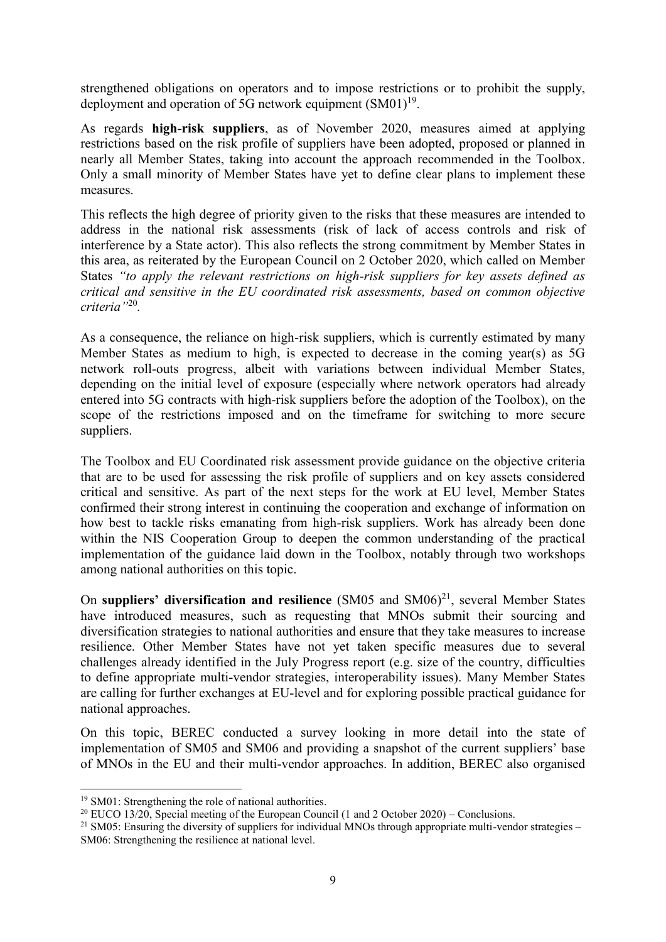strengthened obligations on operators and to impose restrictions or to prohibit the supply, deployment and operation of 5G network equipment  $(SM01)^{19}$ .

As regards **high-risk suppliers**, as of November 2020, measures aimed at applying restrictions based on the risk profile of suppliers have been adopted, proposed or planned in nearly all Member States, taking into account the approach recommended in the Toolbox. Only a small minority of Member States have yet to define clear plans to implement these measures.

This reflects the high degree of priority given to the risks that these measures are intended to address in the national risk assessments (risk of lack of access controls and risk of interference by a State actor). This also reflects the strong commitment by Member States in this area, as reiterated by the European Council on 2 October 2020, which called on Member States *"to apply the relevant restrictions on high-risk suppliers for key assets defined as critical and sensitive in the EU coordinated risk assessments, based on common objective criteria"*<sup>20</sup> *.*

As a consequence, the reliance on high-risk suppliers, which is currently estimated by many Member States as medium to high, is expected to decrease in the coming year(s) as 5G network roll-outs progress, albeit with variations between individual Member States, depending on the initial level of exposure (especially where network operators had already entered into 5G contracts with high-risk suppliers before the adoption of the Toolbox), on the scope of the restrictions imposed and on the timeframe for switching to more secure suppliers.

The Toolbox and EU Coordinated risk assessment provide guidance on the objective criteria that are to be used for assessing the risk profile of suppliers and on key assets considered critical and sensitive. As part of the next steps for the work at EU level, Member States confirmed their strong interest in continuing the cooperation and exchange of information on how best to tackle risks emanating from high-risk suppliers. Work has already been done within the NIS Cooperation Group to deepen the common understanding of the practical implementation of the guidance laid down in the Toolbox, notably through two workshops among national authorities on this topic.

On suppliers' diversification and resilience (SM05 and SM06)<sup>21</sup>, several Member States have introduced measures, such as requesting that MNOs submit their sourcing and diversification strategies to national authorities and ensure that they take measures to increase resilience. Other Member States have not yet taken specific measures due to several challenges already identified in the July Progress report (e.g. size of the country, difficulties to define appropriate multi-vendor strategies, interoperability issues). Many Member States are calling for further exchanges at EU-level and for exploring possible practical guidance for national approaches.

On this topic, BEREC conducted a survey looking in more detail into the state of implementation of SM05 and SM06 and providing a snapshot of the current suppliers' base of MNOs in the EU and their multi-vendor approaches. In addition, BEREC also organised

**.** 

<sup>19</sup> SM01: Strengthening the role of national authorities.

<sup>&</sup>lt;sup>20</sup> EUCO 13/20, Special meeting of the European Council (1 and 2 October 2020) – Conclusions.

<sup>&</sup>lt;sup>21</sup> SM05: Ensuring the diversity of suppliers for individual MNOs through appropriate multi-vendor strategies – SM06: Strengthening the resilience at national level.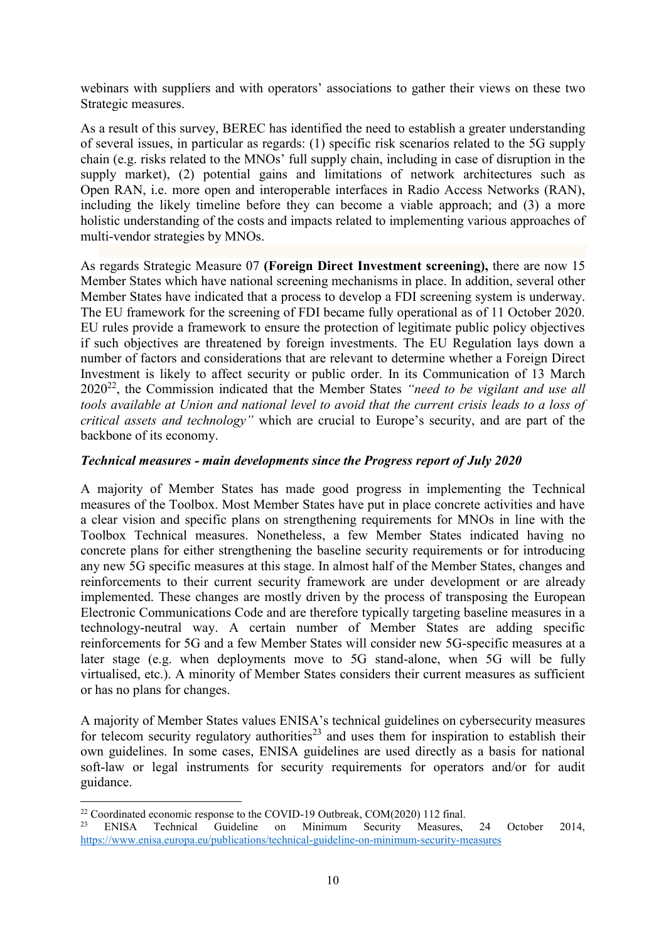webinars with suppliers and with operators' associations to gather their views on these two Strategic measures.

As a result of this survey, BEREC has identified the need to establish a greater understanding of several issues, in particular as regards: (1) specific risk scenarios related to the 5G supply chain (e.g. risks related to the MNOs' full supply chain, including in case of disruption in the supply market), (2) potential gains and limitations of network architectures such as Open RAN, i.e. more open and interoperable interfaces in Radio Access Networks (RAN), including the likely timeline before they can become a viable approach; and (3) a more holistic understanding of the costs and impacts related to implementing various approaches of multi-vendor strategies by MNOs.

As regards Strategic Measure 07 **(Foreign Direct Investment screening),** there are now 15 Member States which have national screening mechanisms in place. In addition, several other Member States have indicated that a process to develop a FDI screening system is underway. The EU framework for the screening of FDI became fully operational as of 11 October 2020. EU rules provide a framework to ensure the protection of legitimate public policy objectives if such objectives are threatened by foreign investments. The EU Regulation lays down a number of factors and considerations that are relevant to determine whether a Foreign Direct Investment is likely to affect security or public order. In its Communication of 13 March 2020<sup>22</sup>, the Commission indicated that the Member States *"need to be vigilant and use all tools available at Union and national level to avoid that the current crisis leads to a loss of critical assets and technology"* which are crucial to Europe's security, and are part of the backbone of its economy.

## *Technical measures - main developments since the Progress report of July 2020*

A majority of Member States has made good progress in implementing the Technical measures of the Toolbox. Most Member States have put in place concrete activities and have a clear vision and specific plans on strengthening requirements for MNOs in line with the Toolbox Technical measures. Nonetheless, a few Member States indicated having no concrete plans for either strengthening the baseline security requirements or for introducing any new 5G specific measures at this stage. In almost half of the Member States, changes and reinforcements to their current security framework are under development or are already implemented. These changes are mostly driven by the process of transposing the European Electronic Communications Code and are therefore typically targeting baseline measures in a technology-neutral way. A certain number of Member States are adding specific reinforcements for 5G and a few Member States will consider new 5G-specific measures at a later stage (e.g. when deployments move to 5G stand-alone, when 5G will be fully virtualised, etc.). A minority of Member States considers their current measures as sufficient or has no plans for changes.

A majority of Member States values ENISA's technical guidelines on cybersecurity measures for telecom security regulatory authorities<sup>23</sup> and uses them for inspiration to establish their own guidelines. In some cases, ENISA guidelines are used directly as a basis for national soft-law or legal instruments for security requirements for operators and/or for audit guidance.

**<sup>.</sup>** <sup>22</sup> Coordinated economic response to the COVID-19 Outbreak, COM(2020) 112 final.

<sup>&</sup>lt;sup>23</sup> ENISA Technical Guideline on Minimum Security Measures, 24 October 2014, <https://www.enisa.europa.eu/publications/technical-guideline-on-minimum-security-measures>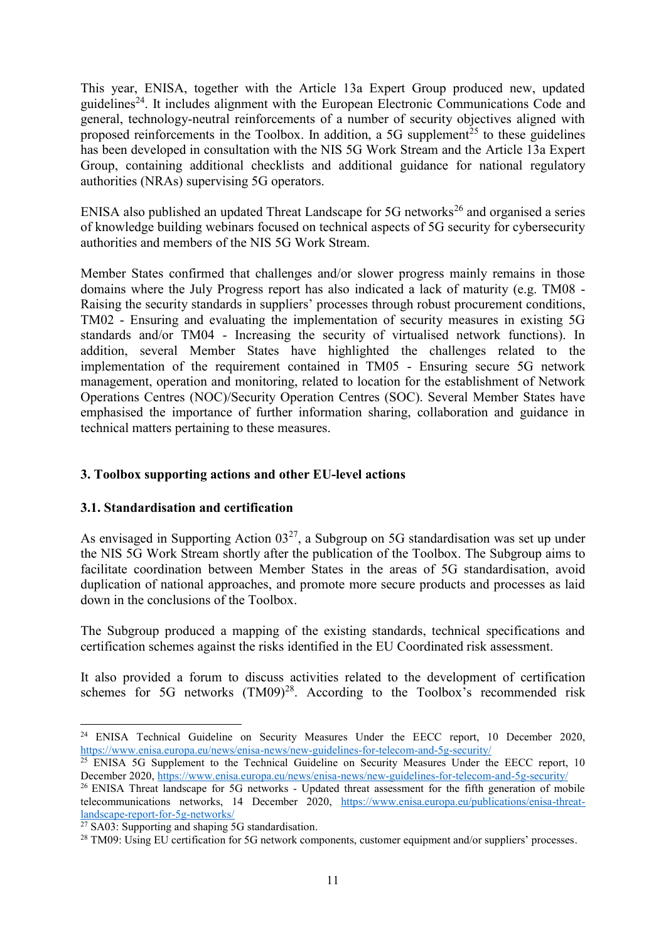This year, ENISA, together with the Article 13a Expert Group produced new, updated guidelines<sup>24</sup>. It includes alignment with the European Electronic Communications Code and general, technology-neutral reinforcements of a number of security objectives aligned with proposed reinforcements in the Toolbox. In addition, a 5G supplement<sup> $25$ </sup> to these guidelines has been developed in consultation with the NIS 5G Work Stream and the Article 13a Expert Group, containing additional checklists and additional guidance for national regulatory authorities (NRAs) supervising 5G operators.

ENISA also published an updated Threat Landscape for  $5G$  networks<sup>26</sup> and organised a series of knowledge building webinars focused on technical aspects of 5G security for cybersecurity authorities and members of the NIS 5G Work Stream.

Member States confirmed that challenges and/or slower progress mainly remains in those domains where the July Progress report has also indicated a lack of maturity (e.g. TM08 - Raising the security standards in suppliers' processes through robust procurement conditions, TM02 - Ensuring and evaluating the implementation of security measures in existing 5G standards and/or TM04 - Increasing the security of virtualised network functions). In addition, several Member States have highlighted the challenges related to the implementation of the requirement contained in TM05 - Ensuring secure 5G network management, operation and monitoring, related to location for the establishment of Network Operations Centres (NOC)/Security Operation Centres (SOC). Several Member States have emphasised the importance of further information sharing, collaboration and guidance in technical matters pertaining to these measures.

## <span id="page-11-0"></span>**3. Toolbox supporting actions and other EU-level actions**

## <span id="page-11-1"></span>**3.1. Standardisation and certification**

As envisaged in Supporting Action  $03^{27}$ , a Subgroup on 5G standardisation was set up under the NIS 5G Work Stream shortly after the publication of the Toolbox. The Subgroup aims to facilitate coordination between Member States in the areas of 5G standardisation, avoid duplication of national approaches, and promote more secure products and processes as laid down in the conclusions of the Toolbox.

The Subgroup produced a mapping of the existing standards, technical specifications and certification schemes against the risks identified in the EU Coordinated risk assessment.

It also provided a forum to discuss activities related to the development of certification schemes for 5G networks  $(TM09)<sup>28</sup>$ . According to the Toolbox's recommended risk

**<sup>.</sup>** <sup>24</sup> ENISA Technical Guideline on Security Measures Under the EECC report, 10 December 2020, <https://www.enisa.europa.eu/news/enisa-news/new-guidelines-for-telecom-and-5g-security/>

<sup>&</sup>lt;sup>25</sup> ENISA 5G Supplement to the Technical Guideline on Security Measures Under the EECC report, 10 December 2020[, https://www.enisa.europa.eu/news/enisa-news/new-guidelines-for-telecom-and-5g-security/](https://www.enisa.europa.eu/news/enisa-news/new-guidelines-for-telecom-and-5g-security/)

<sup>&</sup>lt;sup>26</sup> ENISA Threat landscape for 5G networks - Updated threat assessment for the fifth generation of mobile telecommunications networks, 14 December 2020, [https://www.enisa.europa.eu/publications/enisa-threat](https://www.enisa.europa.eu/publications/enisa-threat-landscape-report-for-5g-networks/)[landscape-report-for-5g-networks/](https://www.enisa.europa.eu/publications/enisa-threat-landscape-report-for-5g-networks/)

 $27$  SA03: Supporting and shaping 5G standardisation.

<sup>&</sup>lt;sup>28</sup> TM09: Using EU certification for 5G network components, customer equipment and/or suppliers' processes.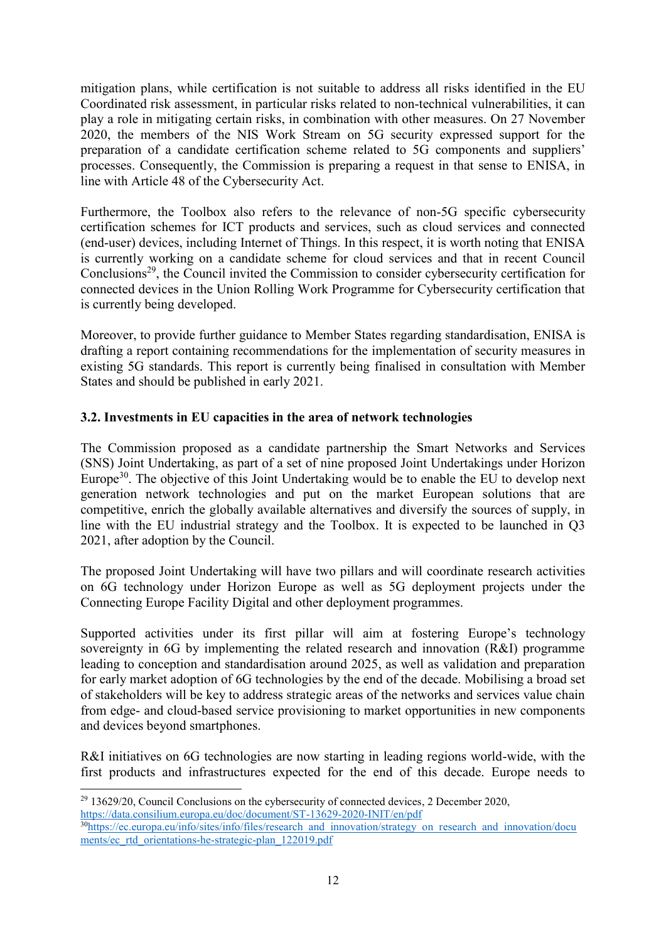mitigation plans, while certification is not suitable to address all risks identified in the EU Coordinated risk assessment, in particular risks related to non-technical vulnerabilities, it can play a role in mitigating certain risks, in combination with other measures. On 27 November 2020, the members of the NIS Work Stream on 5G security expressed support for the preparation of a candidate certification scheme related to 5G components and suppliers' processes. Consequently, the Commission is preparing a request in that sense to ENISA, in line with Article 48 of the Cybersecurity Act.

Furthermore, the Toolbox also refers to the relevance of non-5G specific cybersecurity certification schemes for ICT products and services, such as cloud services and connected (end-user) devices, including Internet of Things. In this respect, it is worth noting that ENISA is currently working on a candidate scheme for cloud services and that in recent Council Conclusions<sup>29</sup>, the Council invited the Commission to consider cybersecurity certification for connected devices in the Union Rolling Work Programme for Cybersecurity certification that is currently being developed.

Moreover, to provide further guidance to Member States regarding standardisation, ENISA is drafting a report containing recommendations for the implementation of security measures in existing 5G standards. This report is currently being finalised in consultation with Member States and should be published in early 2021.

## <span id="page-12-0"></span>**3.2. Investments in EU capacities in the area of network technologies**

The Commission proposed as a candidate partnership the Smart Networks and Services (SNS) Joint Undertaking, as part of a set of nine proposed Joint Undertakings under Horizon Europe<sup>30</sup>. The objective of this Joint Undertaking would be to enable the EU to develop next generation network technologies and put on the market European solutions that are competitive, enrich the globally available alternatives and diversify the sources of supply, in line with the EU industrial strategy and the Toolbox. It is expected to be launched in Q3 2021, after adoption by the Council.

The proposed Joint Undertaking will have two pillars and will coordinate research activities on 6G technology under Horizon Europe as well as 5G deployment projects under the Connecting Europe Facility Digital and other deployment programmes.

Supported activities under its first pillar will aim at fostering Europe's technology sovereignty in 6G by implementing the related research and innovation (R&I) programme leading to conception and standardisation around 2025, as well as validation and preparation for early market adoption of 6G technologies by the end of the decade. Mobilising a broad set of stakeholders will be key to address strategic areas of the networks and services value chain from edge- and cloud-based service provisioning to market opportunities in new components and devices beyond smartphones.

R&I initiatives on 6G technologies are now starting in leading regions world-wide, with the first products and infrastructures expected for the end of this decade. Europe needs to

**.** 

 $29$  13629/20, Council Conclusions on the cybersecurity of connected devices, 2 December 2020, <https://data.consilium.europa.eu/doc/document/ST-13629-2020-INIT/en/pdf> <sup>30</sup>[https://ec.europa.eu/info/sites/info/files/research\\_and\\_innovation/strategy\\_on\\_research\\_and\\_innovation/docu](https://ec.europa.eu/info/sites/info/files/research_and_innovation/strategy_on_research_and_innovation/documents/ec_rtd_orientations-he-strategic-plan_122019.pdf)

[ments/ec\\_rtd\\_orientations-he-strategic-plan\\_122019.pdf](https://ec.europa.eu/info/sites/info/files/research_and_innovation/strategy_on_research_and_innovation/documents/ec_rtd_orientations-he-strategic-plan_122019.pdf)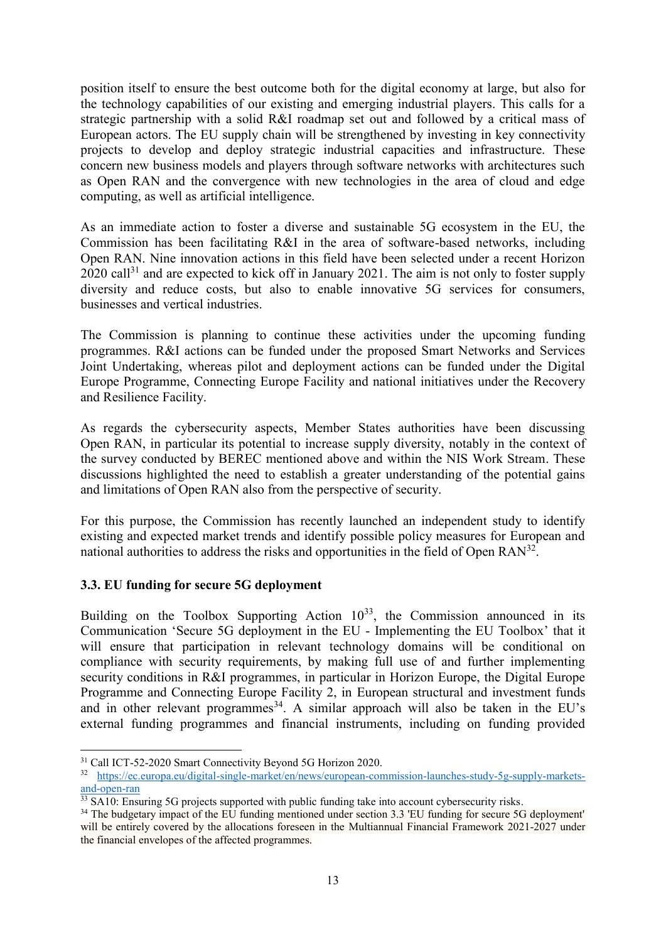position itself to ensure the best outcome both for the digital economy at large, but also for the technology capabilities of our existing and emerging industrial players. This calls for a strategic partnership with a solid R&I roadmap set out and followed by a critical mass of European actors. The EU supply chain will be strengthened by investing in key connectivity projects to develop and deploy strategic industrial capacities and infrastructure. These concern new business models and players through software networks with architectures such as Open RAN and the convergence with new technologies in the area of cloud and edge computing, as well as artificial intelligence.

As an immediate action to foster a diverse and sustainable 5G ecosystem in the EU, the Commission has been facilitating R&I in the area of software-based networks, including Open RAN. Nine innovation actions in this field have been selected under a recent Horizon  $2020 \text{ call}^{31}$  and are expected to kick off in January 2021. The aim is not only to foster supply diversity and reduce costs, but also to enable innovative 5G services for consumers, businesses and vertical industries.

The Commission is planning to continue these activities under the upcoming funding programmes. R&I actions can be funded under the proposed Smart Networks and Services Joint Undertaking, whereas pilot and deployment actions can be funded under the Digital Europe Programme, Connecting Europe Facility and national initiatives under the Recovery and Resilience Facility.

As regards the cybersecurity aspects, Member States authorities have been discussing Open RAN, in particular its potential to increase supply diversity, notably in the context of the survey conducted by BEREC mentioned above and within the NIS Work Stream. These discussions highlighted the need to establish a greater understanding of the potential gains and limitations of Open RAN also from the perspective of security.

For this purpose, the Commission has recently launched an independent study to identify existing and expected market trends and identify possible policy measures for European and national authorities to address the risks and opportunities in the field of Open  $RAN<sup>32</sup>$ .

## <span id="page-13-0"></span>**3.3. EU funding for secure 5G deployment**

Building on the Toolbox Supporting Action  $10^{33}$ , the Commission announced in its Communication 'Secure 5G deployment in the EU - Implementing the EU Toolbox' that it will ensure that participation in relevant technology domains will be conditional on compliance with security requirements, by making full use of and further implementing security conditions in R&I programmes, in particular in Horizon Europe, the Digital Europe Programme and Connecting Europe Facility 2, in European structural and investment funds and in other relevant programmes<sup>34</sup>. A similar approach will also be taken in the EU's external funding programmes and financial instruments, including on funding provided

**<sup>.</sup>** <sup>31</sup> Call ICT-52-2020 Smart Connectivity Beyond 5G Horizon 2020.

<sup>32</sup> [https://ec.europa.eu/digital-single-market/en/news/european-commission-launches-study-5g-supply-markets](https://ec.europa.eu/digital-single-market/en/news/european-commission-launches-study-5g-supply-markets-and-open-ran)[and-open-ran](https://ec.europa.eu/digital-single-market/en/news/european-commission-launches-study-5g-supply-markets-and-open-ran)

<sup>&</sup>lt;sup>33</sup> SA10: Ensuring 5G projects supported with public funding take into account cybersecurity risks.

<sup>&</sup>lt;sup>34</sup> The budgetary impact of the EU funding mentioned under section 3.3 'EU funding for secure 5G deployment' will be entirely covered by the allocations foreseen in the Multiannual Financial Framework 2021-2027 under the financial envelopes of the affected programmes.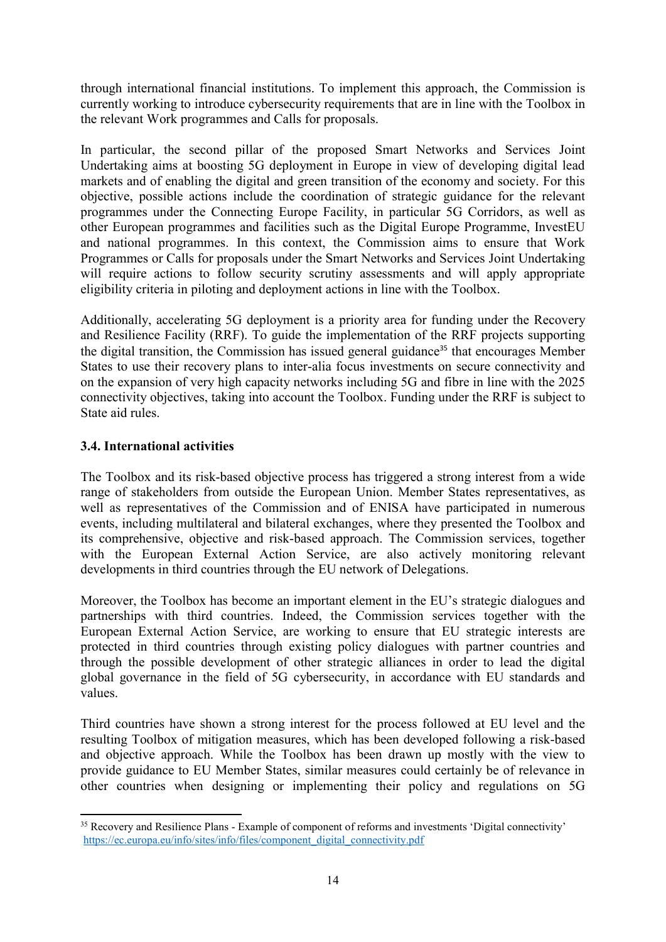through international financial institutions. To implement this approach, the Commission is currently working to introduce cybersecurity requirements that are in line with the Toolbox in the relevant Work programmes and Calls for proposals.

In particular, the second pillar of the proposed Smart Networks and Services Joint Undertaking aims at boosting 5G deployment in Europe in view of developing digital lead markets and of enabling the digital and green transition of the economy and society. For this objective, possible actions include the coordination of strategic guidance for the relevant programmes under the Connecting Europe Facility, in particular 5G Corridors, as well as other European programmes and facilities such as the Digital Europe Programme, InvestEU and national programmes. In this context, the Commission aims to ensure that Work Programmes or Calls for proposals under the Smart Networks and Services Joint Undertaking will require actions to follow security scrutiny assessments and will apply appropriate eligibility criteria in piloting and deployment actions in line with the Toolbox.

Additionally, accelerating 5G deployment is a priority area for funding under the Recovery and Resilience Facility (RRF). To guide the implementation of the RRF projects supporting the digital transition, the Commission has issued general guidance<sup>35</sup> that encourages Member States to use their recovery plans to inter-alia focus investments on secure connectivity and on the expansion of very high capacity networks including 5G and fibre in line with the 2025 connectivity objectives, taking into account the Toolbox. Funding under the RRF is subject to State aid rules.

## <span id="page-14-0"></span>**3.4. International activities**

The Toolbox and its risk-based objective process has triggered a strong interest from a wide range of stakeholders from outside the European Union. Member States representatives, as well as representatives of the Commission and of ENISA have participated in numerous events, including multilateral and bilateral exchanges, where they presented the Toolbox and its comprehensive, objective and risk-based approach. The Commission services, together with the European External Action Service, are also actively monitoring relevant developments in third countries through the EU network of Delegations.

Moreover, the Toolbox has become an important element in the EU's strategic dialogues and partnerships with third countries. Indeed, the Commission services together with the European External Action Service, are working to ensure that EU strategic interests are protected in third countries through existing policy dialogues with partner countries and through the possible development of other strategic alliances in order to lead the digital global governance in the field of 5G cybersecurity, in accordance with EU standards and values.

Third countries have shown a strong interest for the process followed at EU level and the resulting Toolbox of mitigation measures, which has been developed following a risk-based and objective approach. While the Toolbox has been drawn up mostly with the view to provide guidance to EU Member States, similar measures could certainly be of relevance in other countries when designing or implementing their policy and regulations on 5G

**<sup>.</sup>** <sup>35</sup> Recovery and Resilience Plans - Example of component of reforms and investments 'Digital connectivity' [https://ec.europa.eu/info/sites/info/files/component\\_digital\\_connectivity.pdf](https://ec.europa.eu/info/sites/info/files/component_digital_connectivity.pdf)